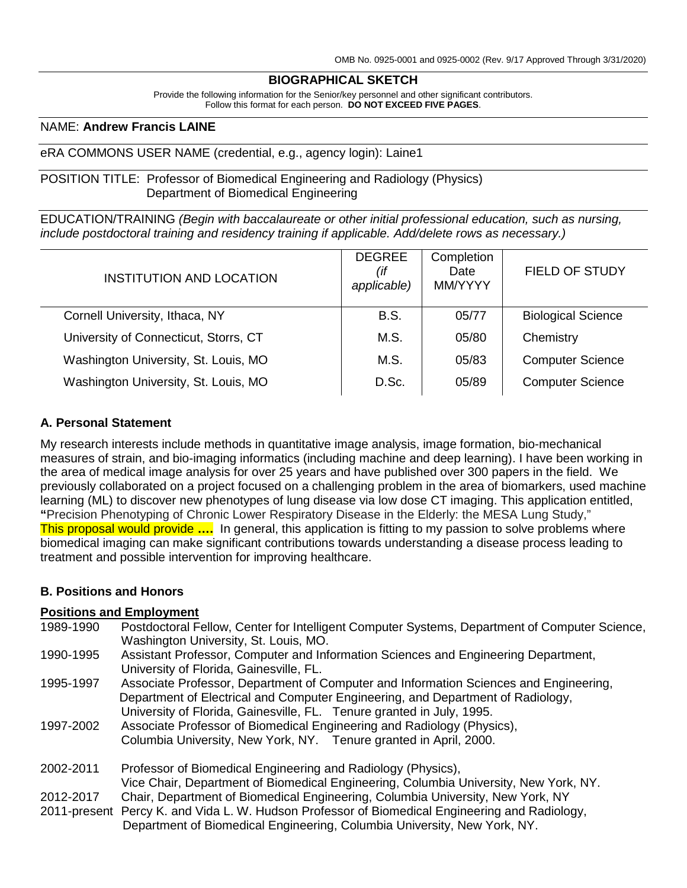# **BIOGRAPHICAL SKETCH**

Provide the following information for the Senior/key personnel and other significant contributors. Follow this format for each person. **DO NOT EXCEED FIVE PAGES**.

### NAME: **Andrew Francis LAINE**

#### eRA COMMONS USER NAME (credential, e.g., agency login): Laine1

POSITION TITLE: Professor of Biomedical Engineering and Radiology (Physics) Department of Biomedical Engineering

EDUCATION/TRAINING *(Begin with baccalaureate or other initial professional education, such as nursing, include postdoctoral training and residency training if applicable. Add/delete rows as necessary.)*

| INSTITUTION AND LOCATION              | <b>DEGREE</b><br>(if<br>applicable) | Completion<br>Date<br>MM/YYYY | <b>FIELD OF STUDY</b>     |
|---------------------------------------|-------------------------------------|-------------------------------|---------------------------|
| Cornell University, Ithaca, NY        | <b>B.S.</b>                         | 05/77                         | <b>Biological Science</b> |
| University of Connecticut, Storrs, CT | M.S.                                | 05/80                         | Chemistry                 |
| Washington University, St. Louis, MO  | M.S.                                | 05/83                         | <b>Computer Science</b>   |
| Washington University, St. Louis, MO  | D.Sc.                               | 05/89                         | <b>Computer Science</b>   |

### **A. Personal Statement**

My research interests include methods in quantitative image analysis, image formation, bio-mechanical measures of strain, and bio-imaging informatics (including machine and deep learning). I have been working in the area of medical image analysis for over 25 years and have published over 300 papers in the field. We previously collaborated on a project focused on a challenging problem in the area of biomarkers, used machine learning (ML) to discover new phenotypes of lung disease via low dose CT imaging. This application entitled, **"**Precision Phenotyping of Chronic Lower Respiratory Disease in the Elderly: the MESA Lung Study," This proposal would provide **….** In general, this application is fitting to my passion to solve problems where biomedical imaging can make significant contributions towards understanding a disease process leading to treatment and possible intervention for improving healthcare.

### **B. Positions and Honors**

### **Positions and Employment**

| 1989-1990 | Postdoctoral Fellow, Center for Intelligent Computer Systems, Department of Computer Science,<br>Washington University, St. Louis, MO.                                   |
|-----------|--------------------------------------------------------------------------------------------------------------------------------------------------------------------------|
| 1990-1995 | Assistant Professor, Computer and Information Sciences and Engineering Department,<br>University of Florida, Gainesville, FL.                                            |
| 1995-1997 | Associate Professor, Department of Computer and Information Sciences and Engineering,<br>Department of Electrical and Computer Engineering, and Department of Radiology, |
|           | University of Florida, Gainesville, FL. Tenure granted in July, 1995.                                                                                                    |
| 1997-2002 | Associate Professor of Biomedical Engineering and Radiology (Physics),<br>Columbia University, New York, NY. Tenure granted in April, 2000.                              |
|           |                                                                                                                                                                          |
| 2002-2011 | Professor of Biomedical Engineering and Radiology (Physics),                                                                                                             |
|           | Vice Chair, Department of Biomedical Engineering, Columbia University, New York, NY.                                                                                     |
| 2012-2017 | Chair, Department of Biomedical Engineering, Columbia University, New York, NY                                                                                           |
|           | 2011-present Percy K. and Vida L. W. Hudson Professor of Biomedical Engineering and Radiology,                                                                           |
|           | Department of Biomedical Engineering, Columbia University, New York, NY.                                                                                                 |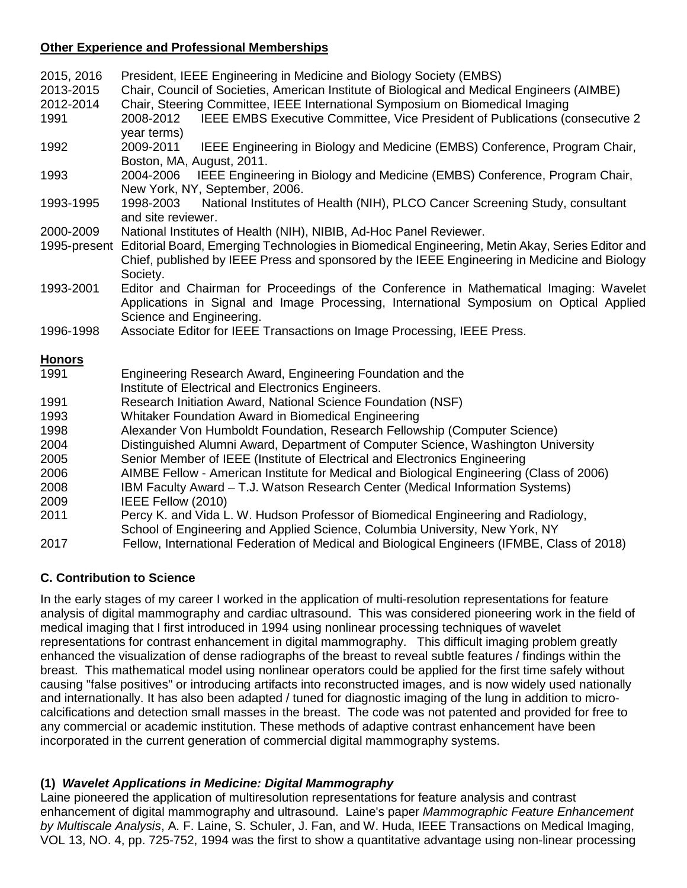## **Other Experience and Professional Memberships**

| 2015, 2016    | President, IEEE Engineering in Medicine and Biology Society (EMBS)                                                   |
|---------------|----------------------------------------------------------------------------------------------------------------------|
| 2013-2015     | Chair, Council of Societies, American Institute of Biological and Medical Engineers (AIMBE)                          |
| 2012-2014     | Chair, Steering Committee, IEEE International Symposium on Biomedical Imaging                                        |
| 1991          | IEEE EMBS Executive Committee, Vice President of Publications (consecutive 2)<br>2008-2012<br>year terms)            |
| 1992          | IEEE Engineering in Biology and Medicine (EMBS) Conference, Program Chair,<br>2009-2011<br>Boston, MA, August, 2011. |
| 1993          | 2004-2006 IEEE Engineering in Biology and Medicine (EMBS) Conference, Program Chair,                                 |
|               | New York, NY, September, 2006.                                                                                       |
| 1993-1995     | National Institutes of Health (NIH), PLCO Cancer Screening Study, consultant<br>1998-2003<br>and site reviewer.      |
| 2000-2009     | National Institutes of Health (NIH), NIBIB, Ad-Hoc Panel Reviewer.                                                   |
| 1995-present  | Editorial Board, Emerging Technologies in Biomedical Engineering, Metin Akay, Series Editor and                      |
|               | Chief, published by IEEE Press and sponsored by the IEEE Engineering in Medicine and Biology                         |
|               | Society.                                                                                                             |
| 1993-2001     | Editor and Chairman for Proceedings of the Conference in Mathematical Imaging: Wavelet                               |
|               | Applications in Signal and Image Processing, International Symposium on Optical Applied                              |
|               | Science and Engineering.                                                                                             |
| 1996-1998     | Associate Editor for IEEE Transactions on Image Processing, IEEE Press.                                              |
| <b>Honors</b> |                                                                                                                      |
| 1991          | Engineering Research Award, Engineering Foundation and the                                                           |
|               | Institute of Electrical and Electronics Engineers.                                                                   |
| 1991          | Research Initiation Award, National Science Foundation (NSF)                                                         |
| 1993          | Whitaker Foundation Award in Biomedical Engineering                                                                  |
| 1998          | Alexander Von Humboldt Foundation, Research Fellowship (Computer Science)                                            |
| 2004          | Distinguished Alumni Award, Department of Computer Science, Washington University                                    |
| 2005          | Senior Member of IEEE (Institute of Electrical and Electronics Engineering                                           |
| 2006          | AIMBE Fellow - American Institute for Medical and Biological Engineering (Class of 2006)                             |
| 2008          | IBM Faculty Award - T.J. Watson Research Center (Medical Information Systems)                                        |
| 2009          | IEEE Fellow (2010)                                                                                                   |
| 2011          | Percy K. and Vida L. W. Hudson Professor of Biomedical Engineering and Radiology,                                    |
|               | School of Engineering and Applied Science, Columbia University, New York, NY                                         |
| 2017          | Fellow, International Federation of Medical and Biological Engineers (IFMBE, Class of 2018)                          |

# **C. Contribution to Science**

In the early stages of my career I worked in the application of multi-resolution representations for feature analysis of digital mammography and cardiac ultrasound. This was considered pioneering work in the field of medical imaging that I first introduced in 1994 using nonlinear processing techniques of wavelet representations for contrast enhancement in digital mammography. This difficult imaging problem greatly enhanced the visualization of dense radiographs of the breast to reveal subtle features / findings within the breast. This mathematical model using nonlinear operators could be applied for the first time safely without causing "false positives" or introducing artifacts into reconstructed images, and is now widely used nationally and internationally. It has also been adapted / tuned for diagnostic imaging of the lung in addition to microcalcifications and detection small masses in the breast. The code was not patented and provided for free to any commercial or academic institution. These methods of adaptive contrast enhancement have been incorporated in the current generation of commercial digital mammography systems.

# **(1)** *Wavelet Applications in Medicine: Digital Mammography*

Laine pioneered the application of multiresolution representations for feature analysis and contrast enhancement of digital mammography and ultrasound. Laine's paper *Mammographic Feature Enhancement by Multiscale Analysis*, A. F. Laine, S. Schuler, J. Fan, and W. Huda, IEEE Transactions on Medical Imaging, VOL 13, NO. 4, pp. 725-752, 1994 was the first to show a quantitative advantage using non-linear processing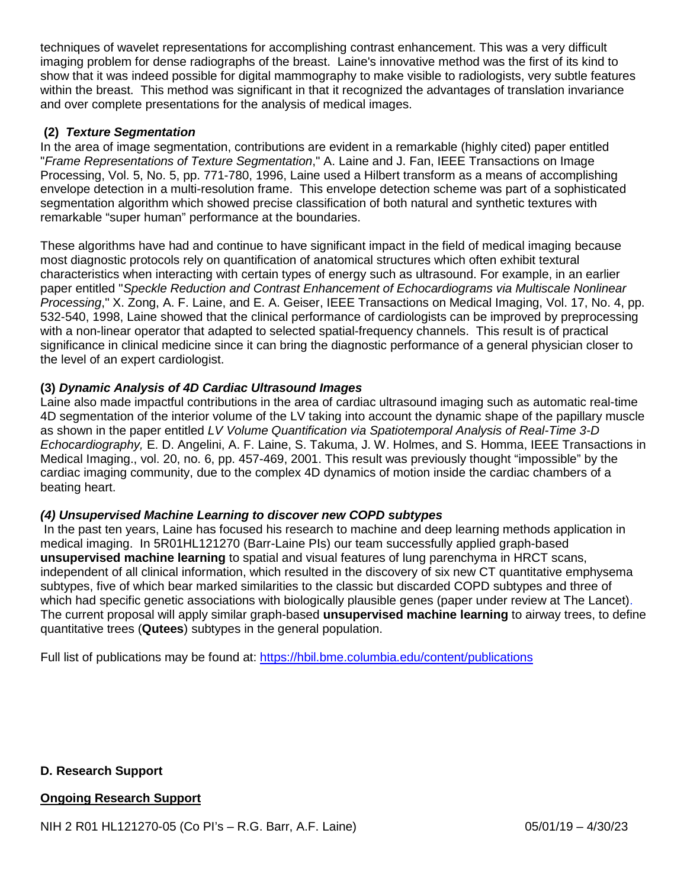techniques of wavelet representations for accomplishing contrast enhancement. This was a very difficult imaging problem for dense radiographs of the breast. Laine's innovative method was the first of its kind to show that it was indeed possible for digital mammography to make visible to radiologists, very subtle features within the breast. This method was significant in that it recognized the advantages of translation invariance and over complete presentations for the analysis of medical images.

# **(2)** *Texture Segmentation*

In the area of image segmentation, contributions are evident in a remarkable (highly cited) paper entitled "*Frame Representations of Texture Segmentation*," A. Laine and J. Fan, IEEE Transactions on Image Processing, Vol. 5, No. 5, pp. 771-780, 1996, Laine used a Hilbert transform as a means of accomplishing envelope detection in a multi-resolution frame. This envelope detection scheme was part of a sophisticated segmentation algorithm which showed precise classification of both natural and synthetic textures with remarkable "super human" performance at the boundaries.

These algorithms have had and continue to have significant impact in the field of medical imaging because most diagnostic protocols rely on quantification of anatomical structures which often exhibit textural characteristics when interacting with certain types of energy such as ultrasound. For example, in an earlier paper entitled "*Speckle Reduction and Contrast Enhancement of Echocardiograms via Multiscale Nonlinear Processing*," X. Zong, A. F. Laine, and E. A. Geiser, IEEE Transactions on Medical Imaging, Vol. 17, No. 4, pp. 532-540, 1998, Laine showed that the clinical performance of cardiologists can be improved by preprocessing with a non-linear operator that adapted to selected spatial-frequency channels. This result is of practical significance in clinical medicine since it can bring the diagnostic performance of a general physician closer to the level of an expert cardiologist.

## **(3)** *Dynamic Analysis of 4D Cardiac Ultrasound Images*

Laine also made impactful contributions in the area of cardiac ultrasound imaging such as automatic real-time 4D segmentation of the interior volume of the LV taking into account the dynamic shape of the papillary muscle as shown in the paper entitled *LV Volume Quantification via Spatiotemporal Analysis of Real-Time 3-D Echocardiography,* E. D. Angelini, A. F. Laine, S. Takuma, J. W. Holmes, and S. Homma, IEEE Transactions in Medical Imaging., vol. 20, no. 6, pp. 457-469, 2001. This result was previously thought "impossible" by the cardiac imaging community, due to the complex 4D dynamics of motion inside the cardiac chambers of a beating heart.

## *(4) Unsupervised Machine Learning to discover new COPD subtypes*

In the past ten years, Laine has focused his research to machine and deep learning methods application in medical imaging. In 5R01HL121270 (Barr-Laine PIs) our team successfully applied graph-based **unsupervised machine learning** to spatial and visual features of lung parenchyma in HRCT scans, independent of all clinical information, which resulted in the discovery of six new CT quantitative emphysema subtypes, five of which bear marked similarities to the classic but discarded COPD subtypes and three of which had specific genetic associations with biologically plausible genes (paper under review at The Lancet). The current proposal will apply similar graph-based **unsupervised machine learning** to airway trees, to define quantitative trees (**Qutees**) subtypes in the general population.

Full list of publications may be found at: <https://hbil.bme.columbia.edu/content/publications>

## **D. Research Support**

## **Ongoing Research Support**

NIH 2 R01 HL121270-05 (Co PI's – R.G. Barr, A.F. Laine) 05/01/19 – 4/30/23